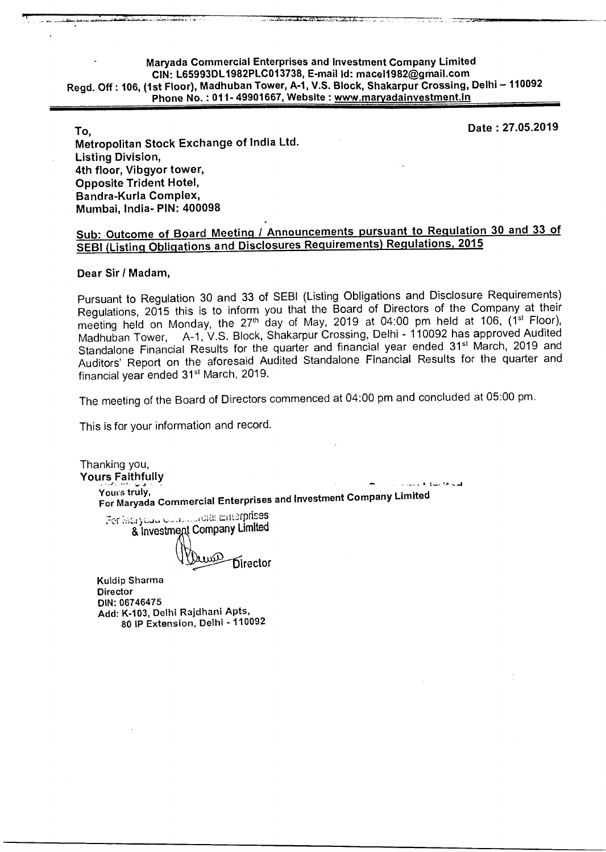## **Maryada Commercial Enterprises and Investment Company Limited CIN: L65993DL1982PLC013738, E-mail Id: mace11982@gmail.com Regd. Off : 106, (1st Floor), Madhuban Tower, A-1, V.S. Block, Shakarpur Crossing, Delhi — 110092 Phone No.: 011- 49901667, Website : www.maryadainvestment.org/2012013738, E-mail Id: macel1982@gmail.com<br>Phone No.: 011- 49901667, Website : www.maryadainvestment.in<br>Phone No.: 011- 49901667, Website : www.maryadainvestme**

**Date : 27.05.2019** 

**To, Metropolitan Stock Exchange of India Ltd. Listing Division, 4th floor, Vibgyor tower, Opposite Trident Hotel, Bandra-Kurla Complex, Mumbai, India- PIN: 400098** 

#### **Sub: Outcome of Board Meeting / Announcements pursuant to Regulation 30 and 33 of SEBI (Listing Obligations and Disclosures Requirements) Regulations, 2015**

#### **Dear Sir I Madam,**

Pursuant to Regulation 30 and 33 of SEBI (Listing Obligations and Disclosure Requirements) Regulations, 2015 this is to inform you that the Board of Directors of the Company at their meeting held on Monday, the 27<sup>th</sup> day of May, 2019 at 04:00 pm held at 106, (1<sup>st</sup> Floor),<br>Madhuban Tower, A-1, V.S. Block, Shakarpur Crossing, Delhi - 110092 has approved Audited A-1, V.S. Block, Shakarpur Crossing, Delhi - 110092 has approved Audited Standalone Financial Results for the quarter and financial year ended 31<sup>st</sup> March, 2019 and Auditors' Report on the aforesaid Audited Standalone Financial Results for the quarter and financial year ended 31<sup>st</sup> March, 2019.

The meeting of the Board of Directors commenced at 04:00 pm and concluded at 05:00 pm.

This is for your information and record.

Thanking you, **Yours Faithfully**  المتحافظ فتناوله والمناد Yours truly, For Maryada Commercial Enterprises and Investment Company Limited For Maryeun Commonal Enterprises & Investment Company Limited **Exercise** Director Kuldip Sharma **Director** DIN: 06746475 Add: K-103, Delhi Rajdhani Apts, 80 IP Extension, Delhi - 110092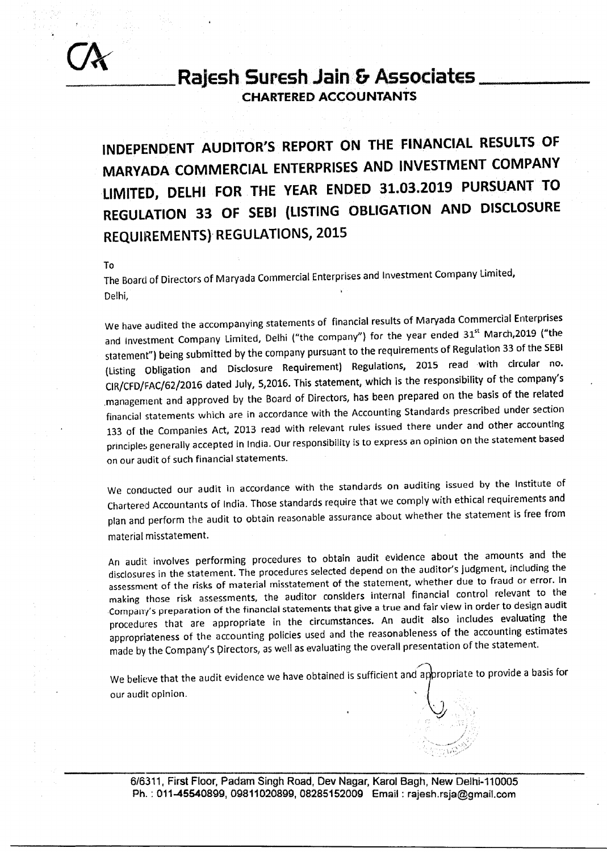

#### **RaJesh Suresh Jain & Associates CHARTERED ACCOUNTANTS**

**INDEPENDENT AUDITOR'S REPORT ON THE FINANCIAL RESULTS OF MARYADA COMMERCIAL ENTERPRISES AND INVESTMENT COMPANY LIMITED, DELHI FOR THE YEAR ENDED 31.03.2019 PURSUANT TO REGULATION 33 OF SEBI (LISTING OBLIGATION AND DISCLOSURE REQUIREMENTS) REGULATIONS, 2015** 

To

The Board of Directors of Maryada Commercial Enterprises and Investment Company Limited, Delhi,

We have audited the accompanying statements of financial results of Maryada Commercial Enterprises and Investment Company Limited, Delhi ("the company") for the year ended 31<sup>st</sup> March,2019 ("the statement") being submitted by the company pursuant to the requirements of Regulation 33 of the SEBI (Listing Obligation and Disclosure Requirement) Regulations, 2015 read with circular no. CIR/CFD/FAC/62/2016 dated July, 5,2016. This statement, which is the responsibility of the company's .management and approved by the Board of Directors, has been prepared on the basis of the related financial statements which are in accordance with the Accounting Standards prescribed under section 133 of the Companies Act, 2013 read with relevant rules issued there under and other accounting principles generally accepted in India. Our responsibility is to express an opinion on the statement based on our audit of such financial statements.

We conducted our audit in accordance with the standards on auditing issued by the Institute of Chartered Accountants of India. Those standards require that we comply with ethical requirements and plan and perform the audit to obtain reasonable assurance about whether the statement is free from material misstatement.

An audit involves performing procedures to obtain audit evidence about the amounts and the disclosures in the statement. The procedures selected depend on the auditor's judgment, including the assessment of the risks of material misstatement of the statement, whether due to fraud or error. In making those risk assessments, the auditor considers internal financial control relevant to the Company's preparation of the financial statements that give a true and fair view in order to design audit procedures that are appropriate in the circumstances. An audit also includes evaluating the appropriateness of the accounting policies used and the reasonableness of the accounting estimates made by the Company's Directors, as well as evaluating the overall presentation of the statement.

We believe that the audit evidence we have obtained is sufficient and appropriate to provide a basis for our audit opinion.

**616311, First Floor, Padam Singh Road, Dev Nagar, Karol Bagh, New Delhi-110005 Ph. : 011-45540899, 09811020899, 08285152009 Email : rajesh.rsja@gmail.com**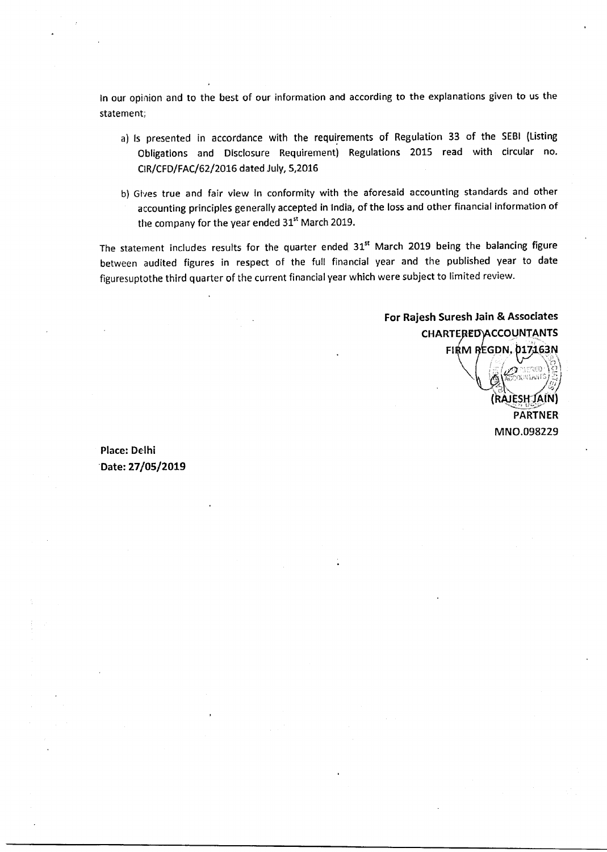In our opinion and to the best of our information and according to the explanations given to us the statement;

- a) Is presented in accordance with the requirements of Regulation 33 of the SEBI (Listing Obligations and Disclosure Requirement) Regulations 2015 read with circular no. CIR/CFD/FAC/62/2016 dated July, 5,2016
- b) Gives true and fair view in conformity with the aforesaid accounting standards and other accounting principles generally accepted in India, of the loss and other financial information of the company for the year ended  $31<sup>st</sup>$  March 2019.

The statement includes results for the quarter ended 31<sup>st</sup> March 2019 being the balancing figure between audited figures in respect of the full financial year and the published year to date figuresuptothe third quarter of the current financial year which were subject to limited review.

### **For Rajesh Suresh Jain & Associates CHARTERED ACCOUNTANTS FIRM REGDN. 017163N**

**(RAJESH ,; JAIN) PARTNER**  MN0.098229

**Place: Delhi Date: 27/05/2019**